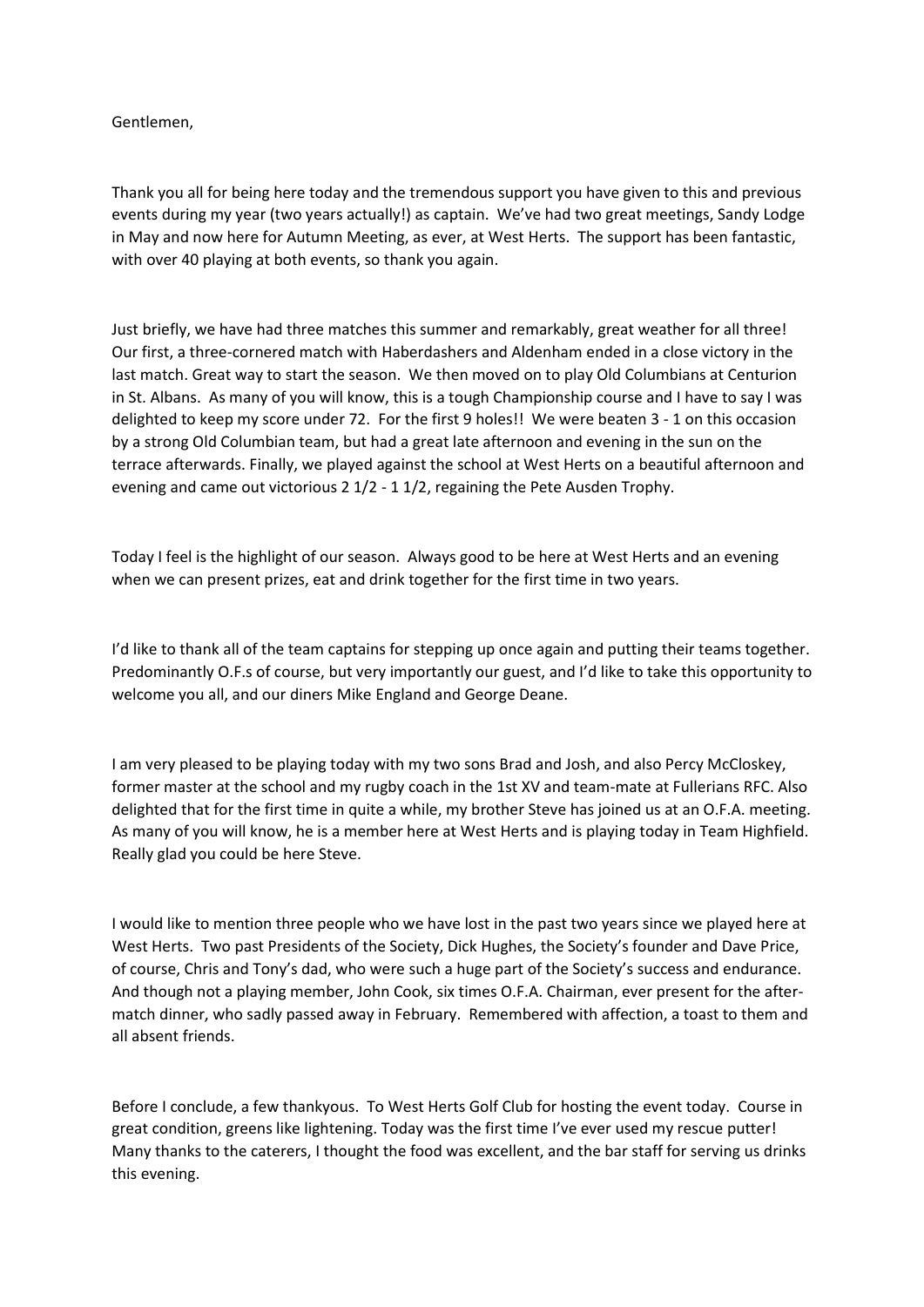## Gentlemen,

Thank you all for being here today and the tremendous support you have given to this and previous events during my year (two years actually!) as captain. We've had two great meetings, Sandy Lodge in May and now here for Autumn Meeting, as ever, at West Herts. The support has been fantastic, with over 40 playing at both events, so thank you again.

Just briefly, we have had three matches this summer and remarkably, great weather for all three! Our first, a three-cornered match with Haberdashers and Aldenham ended in a close victory in the last match. Great way to start the season. We then moved on to play Old Columbians at Centurion in St. Albans. As many of you will know, this is a tough Championship course and I have to say I was delighted to keep my score under 72. For the first 9 holes!! We were beaten 3 - 1 on this occasion by a strong Old Columbian team, but had a great late afternoon and evening in the sun on the terrace afterwards. Finally, we played against the school at West Herts on a beautiful afternoon and evening and came out victorious 2 1/2 - 1 1/2, regaining the Pete Ausden Trophy.

Today I feel is the highlight of our season. Always good to be here at West Herts and an evening when we can present prizes, eat and drink together for the first time in two years.

I'd like to thank all of the team captains for stepping up once again and putting their teams together. Predominantly O.F.s of course, but very importantly our guest, and I'd like to take this opportunity to welcome you all, and our diners Mike England and George Deane.

I am very pleased to be playing today with my two sons Brad and Josh, and also Percy McCloskey, former master at the school and my rugby coach in the 1st XV and team-mate at Fullerians RFC. Also delighted that for the first time in quite a while, my brother Steve has joined us at an O.F.A. meeting. As many of you will know, he is a member here at West Herts and is playing today in Team Highfield. Really glad you could be here Steve.

I would like to mention three people who we have lost in the past two years since we played here at West Herts. Two past Presidents of the Society, Dick Hughes, the Society's founder and Dave Price, of course, Chris and Tony's dad, who were such a huge part of the Society's success and endurance. And though not a playing member, John Cook, six times O.F.A. Chairman, ever present for the aftermatch dinner, who sadly passed away in February. Remembered with affection, a toast to them and all absent friends.

Before I conclude, a few thankyous. To West Herts Golf Club for hosting the event today. Course in great condition, greens like lightening. Today was the first time I've ever used my rescue putter! Many thanks to the caterers, I thought the food was excellent, and the bar staff for serving us drinks this evening.